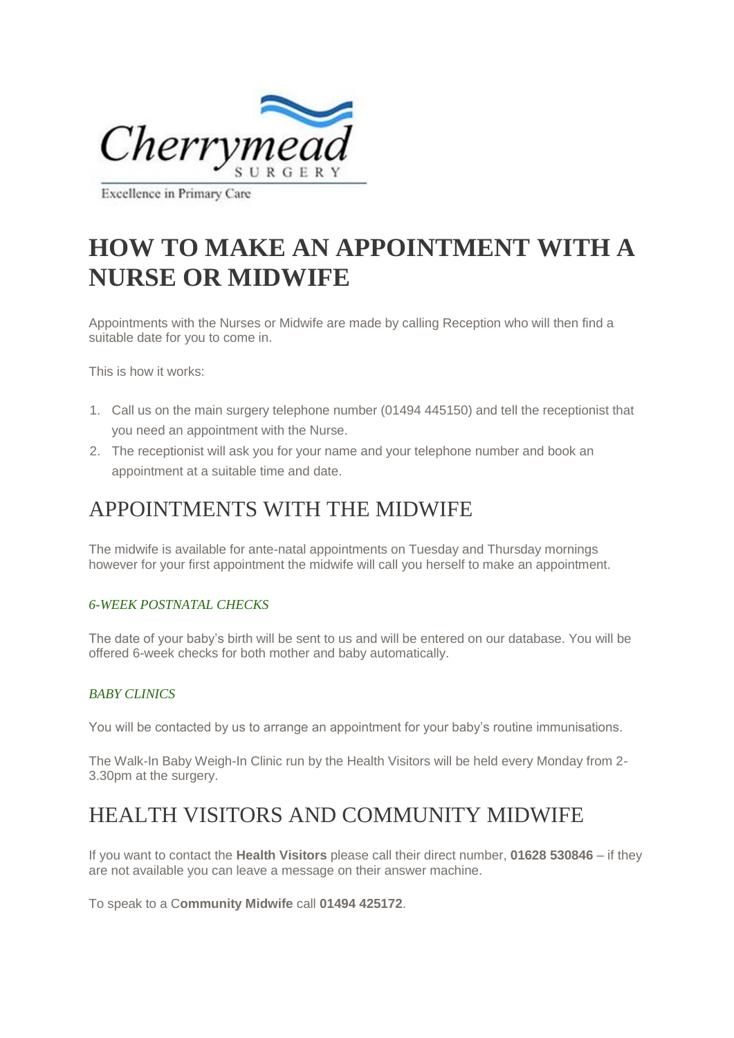

Excellence in Primary Care

# **HOW TO MAKE AN APPOINTMENT WITH A NURSE OR MIDWIFE**

Appointments with the Nurses or Midwife are made by calling Reception who will then find a suitable date for you to come in.

This is how it works:

- 1. Call us on the main surgery telephone number (01494 445150) and tell the receptionist that you need an appointment with the Nurse.
- 2. The receptionist will ask you for your name and your telephone number and book an appointment at a suitable time and date.

### APPOINTMENTS WITH THE MIDWIFE

The midwife is available for ante-natal appointments on Tuesday and Thursday mornings however for your first appointment the midwife will call you herself to make an appointment.

#### *6-WEEK POSTNATAL CHECKS*

The date of your baby's birth will be sent to us and will be entered on our database. You will be offered 6-week checks for both mother and baby automatically.

#### *BABY CLINICS*

You will be contacted by us to arrange an appointment for your baby's routine immunisations.

The Walk-In Baby Weigh-In Clinic run by the Health Visitors will be held every Monday from 2- 3.30pm at the surgery.

### HEALTH VISITORS AND COMMUNITY MIDWIFE

If you want to contact the **Health Visitors** please call their direct number, **01628 530846** – if they are not available you can leave a message on their answer machine.

To speak to a C**ommunity Midwife** call **01494 425172**.